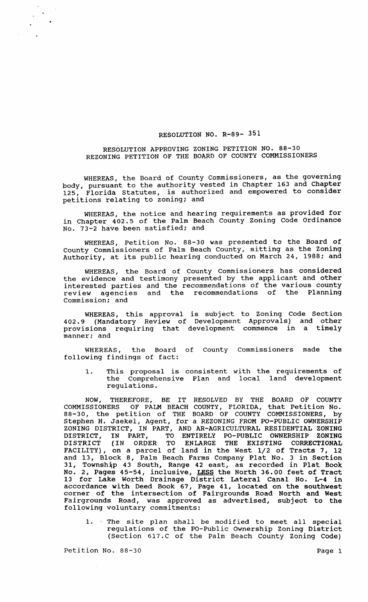## RESOLUTION NO. R-89- 351

## RESOLUTION APPROVING ZONING PETITION NO. 88-30 REZONING PETITION OF THE BOARD OF COUNTY COMMISSIONERS

WHEREAS, the Board of County Commissioners, as the governing body, pursuant to the authority vested in Chapter 163 and Chapter 125, Florida Statutes, is authorized and empowered to consider petitions relating to zoning; and

WHEREAS, the notice and hearing requirements as provided for in Chapter 402.5 of the Palm Beach County zoning Code Ordinance No. 73-2 have been satisfied; and

WHEREAS, Petition No. 88-30 was presented to the Board of County Commissioners of Palm Beach County, sitting as the Zoning Authority, at its public hearing conducted on March 24, 1988; and

WHEREAS, the Board of County Commissioners has considered the evidence and testimony presented by the applicant and other interested parties and the recommendations of the various county review agencies and the recommendations of the Planning commission; and

WHEREAS, this approval is subject to Zoning Code Section 402.9 (Mandatory Review of Development Approvals) and other provisions requiring that development commence in a timely manner; and

WHEREAS, the Board of County Commissioners made the following findings of fact:

1. This proposal is consistent with the requirements of the Comprehensive Plan and local land development regulations.

NOW, THEREFORE, BE IT RESOLVED BY THE BOARD OF COUNTY COMMISSIONERS OF PALM BEACH COUNTY, FLORIDA, that Petition No. 88-30, the petition of THE BOARD OF COUNTY COMMISSIONERS, by Stephen H. Jaekel, Agent, for a REZONING FROM PO-PUBLIC OWNERSHIP ZONING DISTRICT, IN PART, AND AR-AGRICULTURAL RESIDENTIAL ZONING DISTRICT, IN PART, TO ENTIRELY PO-PUBLIC OWNERSHIP ZONING DISTRICT (IN ORDER TO ENLARGE THE EXISTING CORRECTIONAL FACILITY), on a parcel of land in the West 1/2 of Tracts 7, 12 and 13, Block 8, Palm Beach Farms Company Plat No. 3 in Section and Le, Bleech of Falm Beach Falms Company flat her control in Plat Book No. 2, Pages 45-54, inclusive, LESS the North 36.00 feet of Tract 13 for Lake Worth Drainage District Lateral Canal No. L-4 in accordance with Deed Book 67, Page 41, located on the southwest corner of the intersection of Fairgrounds Road North and West Fairgrounds Road, was approved as advertised, subject to the following voluntary commitments:

1. The site plan shall be modified to meet all special regulations of the PO-Public Ownership zoning District (Section 617.C of the Palm Beach County Zoning Code)

Petition No. 88-30 Page 1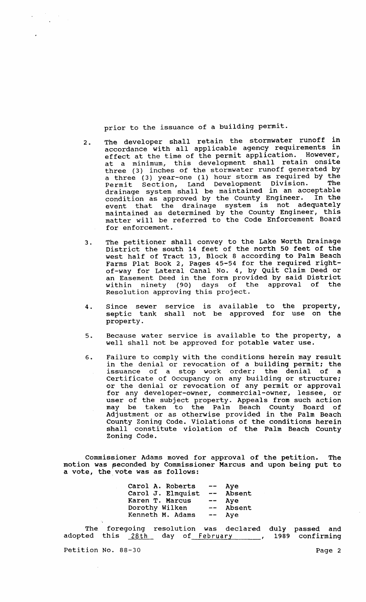prior to the issuance of a building permit.

- 2. The developer shall retain the stormwater runoff in accordance with all applicable agency requirements in effect at the time of the permit application. However, at a minimum, this development shall retain onsite three (3) inches of the stormwater runoff generated by a three (3) year-one (1) hour storm as required by the Permit section, Land Development Division. The drainage system shall be maintained in an acceptable condition as approved by the county Engineer. In the event that the drainage system is not adequately maintained as determined by the County Engineer, this matter will be referred to the Code Enforcement Board for enforcement.
- 3 The petitioner shall convey to the Lake Worth Drainage District the south 14 feet of the north 50 feet of the west half of Tract 13, Block 8 according to Palm Beach Farms Plat Book 2, Pages 45-54 for the required rightof-way for Lateral Canal No.4, by Quit Claim Deed or an Easement Deed in the form provided by said District<br>within pinety (90) days of the approval of the within ninety (90) days of the approval of the Resolution approving this project.
- 4. Since sewer service is available to the property, septic tank shall not be approved for use on the property.
- 5. Because water service is available to the property, a well shall not be approved for potable water use.
- 6. Failure to comply with the conditions herein may result in the denial or revocation of a building permit; the issuance of a stop work order; the denial of a certificate of Occupancy on any building or structure; or the denial or revocation of any permit or approval for any developer-owner, commercial-owner, lessee, or user of the subject property. Appeals from such action may be taken to the Palm Beach County Board of Adjustment or as otherwise provided in the Palm Beach County Zoning Code. Violations of the conditions herein shall constitute violation of the Palm Beach County Zoning Code.

commissioner Adams moved for approval of the petition. The motion was seconded by Commissioner Marcus and upon being put to a vote, the vote was as follows:

| Carol A. Roberts  | $\overline{\phantom{m}}$ | Aye    |
|-------------------|--------------------------|--------|
| Carol J. Elmquist | $\frac{1}{2}$            | Absent |
| Karen T. Marcus   | $-\!$ $-$                | Aye    |
| Dorothy Wilken    | $- -$                    | Absent |
| Kenneth M. Adams  | $\overline{\phantom{m}}$ | Ave    |

The adopted foregoing this <u>28th</u> resolution was declared day of February \_\_\_\_\_\_ duly 1989 passed and confirming

Petition No. 88-30